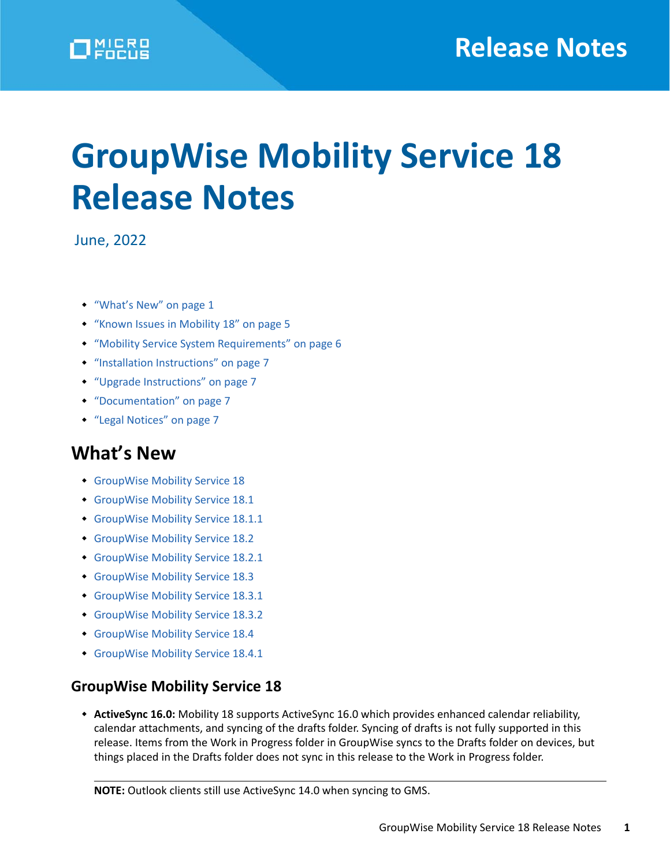# **GroupWise Mobility Service 18 Release Notes**

June, 2022

- ["What's New" on page 1](#page-0-0)
- ["Known Issues in Mobility 18" on page 5](#page-4-0)
- ["Mobility Service System Requirements" on page 6](#page-5-0)
- ["Installation Instructions" on page 7](#page-6-0)
- ["Upgrade Instructions" on page 7](#page-6-1)
- ["Documentation" on page 7](#page-6-2)
- ["Legal Notices" on page 7](#page-6-3)

# <span id="page-0-0"></span>**What's New**

- [GroupWise Mobility Service 18](#page-0-1)
- [GroupWise Mobility Service 18.1](#page-1-0)
- [GroupWise Mobility Service 18.1.1](#page-1-1)
- [GroupWise Mobility Service 18.2](#page-1-2)
- [GroupWise Mobility Service 18.2.1](#page-1-3)
- [GroupWise Mobility Service 18.3](#page-2-0)
- [GroupWise Mobility Service 18.3.1](#page-2-1)
- [GroupWise Mobility Service 18.3.2](#page-2-2)
- [GroupWise Mobility Service 18.4](#page-2-3)
- [GroupWise Mobility Service 18.4.1](#page-3-0)

## <span id="page-0-1"></span>**GroupWise Mobility Service 18**

 **ActiveSync 16.0:** Mobility 18 supports ActiveSync 16.0 which provides enhanced calendar reliability, calendar attachments, and syncing of the drafts folder. Syncing of drafts is not fully supported in this release. Items from the Work in Progress folder in GroupWise syncs to the Drafts folder on devices, but things placed in the Drafts folder does not sync in this release to the Work in Progress folder.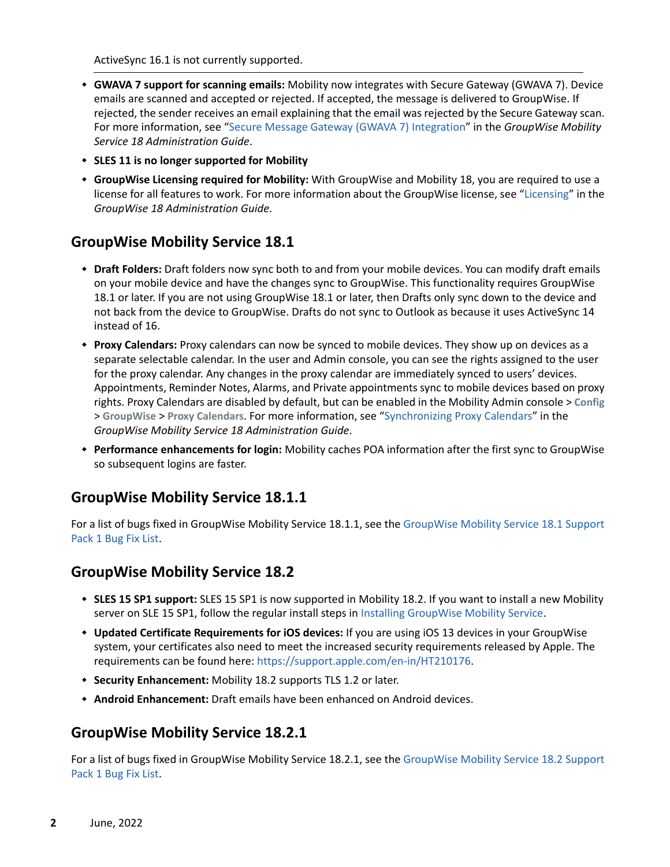ActiveSync 16.1 is not currently supported.

- **GWAVA 7 support for scanning emails:** Mobility now integrates with Secure Gateway (GWAVA 7). Device emails are scanned and accepted or rejected. If accepted, the message is delivered to GroupWise. If rejected, the sender receives an email explaining that the email was rejected by the Secure Gateway scan. For more information, see ["Secure Message Gateway \(GWAVA 7\) Integration"](https://www.novell.com/documentation/gwmobility18.4.1/pdfdoc/gwmob18_guide_admin/gwmob18_guide_admin.pdf#t44qmrer9eos) in the *GroupWise Mobility Service 18 Administration Guide*.
- **SLES 11 is no longer supported for Mobility**
- **GroupWise Licensing required for Mobility:** With GroupWise and Mobility 18, you are required to use a license for all features to work. For more information about the GroupWise license, see ["Licensing](https://www.novell.com/documentation/groupwise18/pdfdoc/gw18_guide_admin/gw18_guide_admin.pdf#licensing)" in the *GroupWise 18 Administration Guide*.

## <span id="page-1-0"></span>**GroupWise Mobility Service 18.1**

- **Draft Folders:** Draft folders now sync both to and from your mobile devices. You can modify draft emails on your mobile device and have the changes sync to GroupWise. This functionality requires GroupWise 18.1 or later. If you are not using GroupWise 18.1 or later, then Drafts only sync down to the device and not back from the device to GroupWise. Drafts do not sync to Outlook as because it uses ActiveSync 14 instead of 16.
- **Proxy Calendars:** Proxy calendars can now be synced to mobile devices. They show up on devices as a separate selectable calendar. In the user and Admin console, you can see the rights assigned to the user for the proxy calendar. Any changes in the proxy calendar are immediately synced to users' devices. Appointments, Reminder Notes, Alarms, and Private appointments sync to mobile devices based on proxy rights. Proxy Calendars are disabled by default, but can be enabled in the Mobility Admin console > **Config** > **GroupWise** > **Proxy Calendars**. For more information, see ["Synchronizing Proxy Calendars"](https://www.novell.com/documentation/gwmobility18.4.1/pdfdoc/gwmob18_guide_admin/gwmob18_guide_admin.pdf#t46i0sa48sgf) in the *GroupWise Mobility Service 18 Administration Guide*.
- **Performance enhancements for login:** Mobility caches POA information after the first sync to GroupWise so subsequent logins are faster.

## <span id="page-1-1"></span>**GroupWise Mobility Service 18.1.1**

For a list of bugs fixed in GroupWise Mobility Service 18.1.1, see the [GroupWise Mobility Service 18.1 Support](https://www.novell.com/documentation/groupwise18/gw18_bugfixlist/gwmob18_1_sp1_bugfixlist.html)  [Pack 1 Bug Fix List](https://www.novell.com/documentation/groupwise18/gw18_bugfixlist/gwmob18_1_sp1_bugfixlist.html).

## <span id="page-1-2"></span>**GroupWise Mobility Service 18.2**

- **SLES 15 SP1 support:** SLES 15 SP1 is now supported in Mobility 18.2. If you want to install a new Mobility server on SLE 15 SP1, follow the regular install steps in [Installing GroupWise Mobility Service.](https://www.novell.com/documentation/gwmobility18.4.1/pdfdoc/gwmob18_guide_install/gwmob18_guide_install.pdf#instinstallservice)
- **Updated Certificate Requirements for iOS devices:** If you are using iOS 13 devices in your GroupWise system, your certificates also need to meet the increased security requirements released by Apple. The requirements can be found here:<https://support.apple.com/en-in/HT210176>.
- **Security Enhancement:** Mobility 18.2 supports TLS 1.2 or later.
- **Android Enhancement:** Draft emails have been enhanced on Android devices.

## <span id="page-1-3"></span>**GroupWise Mobility Service 18.2.1**

For a list of bugs fixed in GroupWise Mobility Service 18.2.1, see the [GroupWise Mobility Service 18.2 Support](https://www.novell.com/documentation/groupwise18/gw18_bugfixlist/gwmob18_2_sp1_bugfixlist.html)  [Pack 1 Bug Fix List](https://www.novell.com/documentation/groupwise18/gw18_bugfixlist/gwmob18_2_sp1_bugfixlist.html).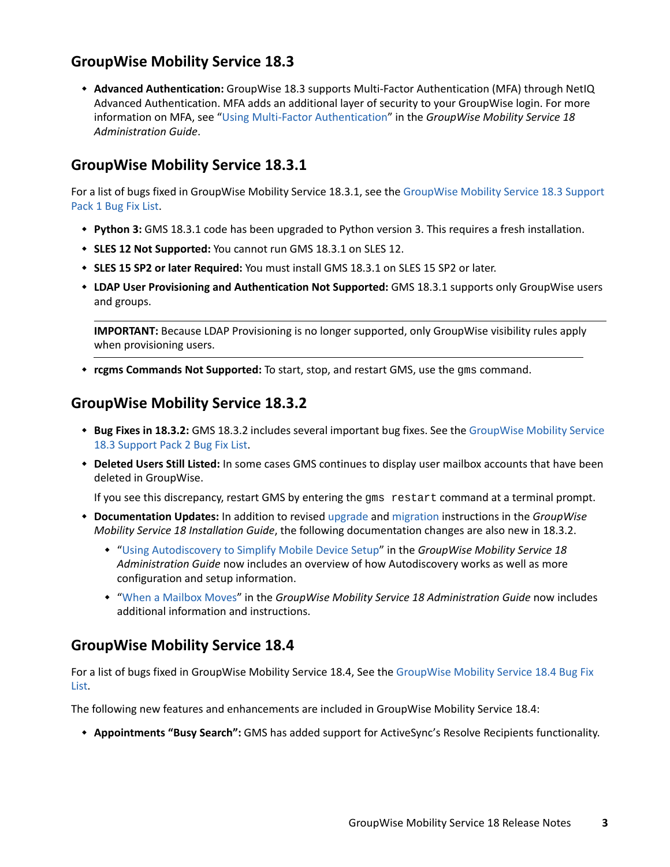# <span id="page-2-0"></span>**GroupWise Mobility Service 18.3**

 **Advanced Authentication:** GroupWise 18.3 supports Multi-Factor Authentication (MFA) through NetIQ Advanced Authentication. MFA adds an additional layer of security to your GroupWise login. For more information on MFA, see "[Using Multi-Factor Authentication](https://www.novell.com/documentation/gwmobility18.4.1/pdfdoc/gwmob18_guide_admin/gwmob18_guide_admin.pdf#adminusermgtusermfa)" in the *GroupWise Mobility Service 18 Administration Guide*.

# <span id="page-2-1"></span>**GroupWise Mobility Service 18.3.1**

For a list of bugs fixed in GroupWise Mobility Service 18.3.1, see the [GroupWise Mobility Service 18.3 Support](https://www.novell.com/documentation/groupwise18/gw18_bugfixlist/gwmob18_3_sp1_bugfixlist.html)  [Pack 1 Bug Fix List](https://www.novell.com/documentation/groupwise18/gw18_bugfixlist/gwmob18_3_sp1_bugfixlist.html).

- **Python 3:** GMS 18.3.1 code has been upgraded to Python version 3. This requires a fresh installation.
- **SLES 12 Not Supported:** You cannot run GMS 18.3.1 on SLES 12.
- **SLES 15 SP2 or later Required:** You must install GMS 18.3.1 on SLES 15 SP2 or later.
- **LDAP User Provisioning and Authentication Not Supported:** GMS 18.3.1 supports only GroupWise users and groups.

**IMPORTANT:** Because LDAP Provisioning is no longer supported, only GroupWise visibility rules apply when provisioning users.

**rcgms Commands Not Supported:** To start, stop, and restart GMS, use the gms command.

## <span id="page-2-2"></span>**GroupWise Mobility Service 18.3.2**

- **Bug Fixes in 18.3.2:** GMS 18.3.2 includes several important bug fixes. See the [GroupWise Mobility Service](https://www.novell.com/documentation/groupwise18/gw18_bugfixlist/gwmob18_3_sp2_bugfixlist.html)  [18.3 Support Pack 2 Bug Fix List](https://www.novell.com/documentation/groupwise18/gw18_bugfixlist/gwmob18_3_sp2_bugfixlist.html).
- **Deleted Users Still Listed:** In some cases GMS continues to display user mailbox accounts that have been deleted in GroupWise.

If you see this discrepancy, restart GMS by entering the gms restart command at a terminal prompt.

- **Documentation Updates:** In addition to revised [upgrade](https://www.novell.com/documentation/gwmobility18.4.1/pdfdoc/gwmob18_guide_install/gwmob18_guide_install.pdf#instupgrade) and [migration](https://www.novell.com/documentation/gwmobility18.4.1/pdfdoc/gwmob18_guide_install/gwmob18_guide_install.pdf#instmigrate) instructions in the *GroupWise Mobility Service 18 Installation Guide*, the following documentation changes are also new in 18.3.2.
	- "[Using Autodiscovery to Simplify Mobile Device Setup"](https://www.novell.com/documentation/gwmobility18.4.1/pdfdoc/gwmob18_guide_admin/gwmob18_guide_admin.pdf#adminmgtautodiscover) in the *GroupWise Mobility Service 18 Administration Guide* now includes an overview of how Autodiscovery works as well as more configuration and setup information.
	- "[When a Mailbox Moves"](https://www.novell.com/documentation/gwmobility18.4.1/pdfdoc/gwmob18_guide_admin/gwmob18_guide_admin.pdf#adminusermgtgwmailboxmove) in the *GroupWise Mobility Service 18 Administration Guide* now includes additional information and instructions.

## <span id="page-2-3"></span>**GroupWise Mobility Service 18.4**

For a list of bugs fixed in GroupWise Mobility Service 18.4, See the [GroupWise Mobility Service 18.4 Bug Fix](https://www.novell.com/documentation/groupwise18/gw18_bugfixlist/gwmob18_4_bugfixlist.html)  [List.](https://www.novell.com/documentation/groupwise18/gw18_bugfixlist/gwmob18_4_bugfixlist.html)

The following new features and enhancements are included in GroupWise Mobility Service 18.4:

**Appointments "Busy Search":** GMS has added support for ActiveSync's Resolve Recipients functionality.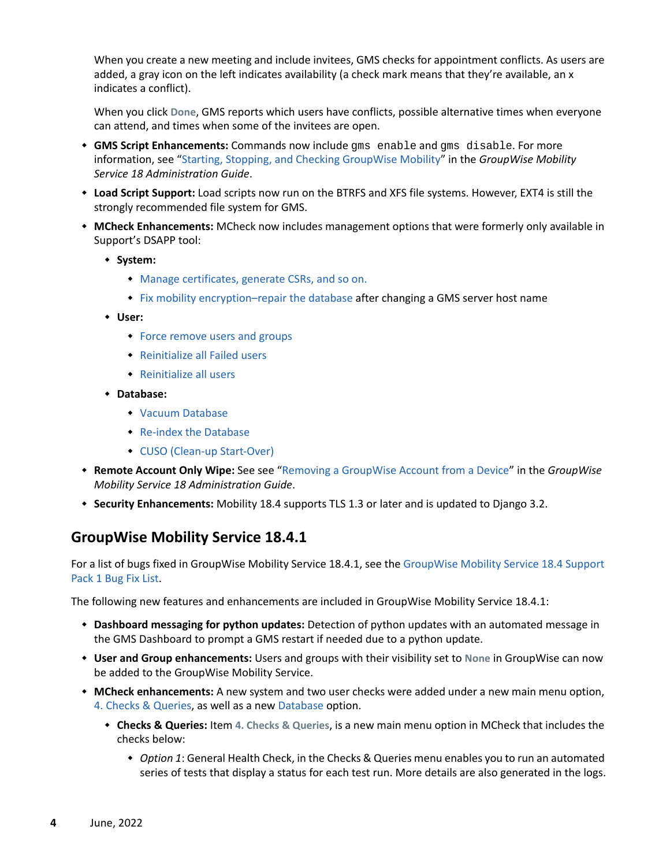When you create a new meeting and include invitees, GMS checks for appointment conflicts. As users are added, a gray icon on the left indicates availability (a check mark means that they're available, an x indicates a conflict).

When you click **Done**, GMS reports which users have conflicts, possible alternative times when everyone can attend, and times when some of the invitees are open.

- **GMS Script Enhancements:** Commands now include gms enable and gms disable. For more information, see ["Starting, Stopping, and Checking GroupWise Mobility"](https://www.novell.com/documentation/gwmobility18.4.1/pdfdoc/gwmob18_guide_admin/gwmob18_guide_admin.pdf#adminmgtstartstop) in the *GroupWise Mobility Service 18 Administration Guide*.
- **Load Script Support:** Load scripts now run on the BTRFS and XFS file systems. However, EXT4 is still the strongly recommended file system for GMS.
- **MCheck Enhancements:** MCheck now includes management options that were formerly only available in Support's DSAPP tool:
	- **System:** 
		- [Manage certificates, generate CSRs, and so on.](https://www.novell.com/documentation/gwmobility18.4.1/pdfdoc/gwmob18_guide_admin/gwmob18_guide_admin.pdf#certificates)
		- [Fix mobility encryption–repair the database](https://www.novell.com/documentation/gwmobility18.4.1/pdfdoc/gwmob18_guide_admin/gwmob18_guide_admin.pdf#fixmobilityencryption) after changing a GMS server host name
	- **User:** 
		- [Force remove users and groups](https://www.novell.com/documentation/gwmobility18.4.1/pdfdoc/gwmob18_guide_admin/gwmob18_guide_admin.pdf#forceremoveusersgroupsdbreferences)
		- [Reinitialize all Failed users](https://www.novell.com/documentation/gwmobility18.4.1/pdfdoc/gwmob18_guide_admin/gwmob18_guide_admin.pdf#reinitializeallfailedusers)
		- [Reinitialize all users](https://www.novell.com/documentation/gwmobility18.4.1/pdfdoc/gwmob18_guide_admin/gwmob18_guide_admin.pdf#reinitializeallusers)
	- **Database:** 
		- [Vacuum Database](https://www.novell.com/documentation/gwmobility18.4.1/pdfdoc/gwmob18_guide_admin/gwmob18_guide_admin.pdf#vacuumdatabase)
		- [Re-index the Database](https://www.novell.com/documentation/gwmobility18.4.1/pdfdoc/gwmob18_guide_admin/gwmob18_guide_admin.pdf#reindexdatabase)
		- [CUSO \(Clean-up Start-Over\)](https://www.novell.com/documentation/gwmobility18.4.1/pdfdoc/gwmob18_guide_admin/gwmob18_guide_admin.pdf#cuso)
- **Remote Account Only Wipe:** See see "[Removing a GroupWise Account from a Device"](https://www.novell.com/documentation/gwmobility18.4.1/pdfdoc/gwmob18_guide_admin/gwmob18_guide_admin.pdf#admindevmgtrmvacct) in the *GroupWise Mobility Service 18 Administration Guide*.
- **Security Enhancements:** Mobility 18.4 supports TLS 1.3 or later and is updated to Django 3.2.

## <span id="page-3-0"></span>**GroupWise Mobility Service 18.4.1**

For a list of bugs fixed in GroupWise Mobility Service 18.4.1, see the [GroupWise Mobility Service 18.4 Support](https://www.novell.com/documentation/groupwise18/gw18_bugfixlist/gwmob18_4_sp1_bugfixlist.html)  [Pack 1 Bug Fix List](https://www.novell.com/documentation/groupwise18/gw18_bugfixlist/gwmob18_4_sp1_bugfixlist.html).

The following new features and enhancements are included in GroupWise Mobility Service 18.4.1:

- **Dashboard messaging for python updates:** Detection of python updates with an automated message in the GMS Dashboard to prompt a GMS restart if needed due to a python update.
- **User and Group enhancements:** Users and groups with their visibility set to **None** in GroupWise can now be added to the GroupWise Mobility Service.
- **MCheck enhancements:** A new system and two user checks were added under a new main menu option, [4. Checks & Queries,](https://www.novell.com/documentation/gwmobility18.4.1/pdfdoc/gwmob18_guide_admin/gwmob18_guide_admin.pdf#checksqueries) as well as a new [Database](https://www.novell.com/documentation/gwmobility18.4.1/pdfdoc/gwmob18_guide_admin/gwmob18_guide_admin.pdf#mcheckdatabase) option.
	- **Checks & Queries:** Item **4. Checks & Queries**, is a new main menu option in MCheck that includes the checks below:
		- *Option 1*: General Health Check, in the Checks & Queries menu enables you to run an automated series of tests that display a status for each test run. More details are also generated in the logs.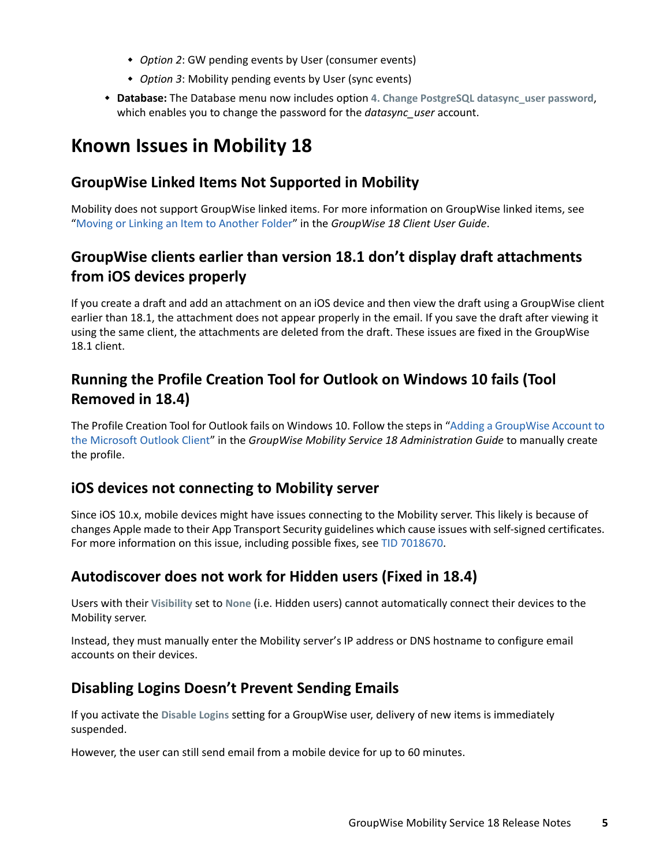- *Option 2*: GW pending events by User (consumer events)
- *Option 3*: Mobility pending events by User (sync events)
- **Database:** The Database menu now includes option **4. Change PostgreSQL datasync\_user password**, which enables you to change the password for the *datasync\_user* account.

# <span id="page-4-0"></span>**Known Issues in Mobility 18**

# **GroupWise Linked Items Not Supported in Mobility**

Mobility does not support GroupWise linked items. For more information on GroupWise linked items, see "[Moving or Linking an Item to Another Folder](https://www.novell.com/documentation/groupwise18/pdfdoc/gw18_guide_userwin/gw18_guide_userwin.pdf#bg1kb7d)" in the *GroupWise 18 Client User Guide*.

# **GroupWise clients earlier than version 18.1 don't display draft attachments from iOS devices properly**

If you create a draft and add an attachment on an iOS device and then view the draft using a GroupWise client earlier than 18.1, the attachment does not appear properly in the email. If you save the draft after viewing it using the same client, the attachments are deleted from the draft. These issues are fixed in the GroupWise 18.1 client.

# **Running the Profile Creation Tool for Outlook on Windows 10 fails (Tool Removed in 18.4)**

The Profile Creation Tool for Outlook fails on Windows 10. Follow the steps in "[Adding a GroupWise Account to](https://www.novell.com/documentation/gwmobility18.4.1/pdfdoc/gwmob18_guide_admin/gwmob18_guide_admin.pdf#b1e2dh7e)  [the Microsoft Outlook Client](https://www.novell.com/documentation/gwmobility18.4.1/pdfdoc/gwmob18_guide_admin/gwmob18_guide_admin.pdf#b1e2dh7e)" in the *GroupWise Mobility Service 18 Administration Guide* to manually create the profile.

## **iOS devices not connecting to Mobility server**

Since iOS 10.x, mobile devices might have issues connecting to the Mobility server. This likely is because of changes Apple made to their App Transport Security guidelines which cause issues with self-signed certificates. For more information on this issue, including possible fixes, see [TID 7018670](https://www.novell.com/support/kb/doc.php?id=7018670).

# **Autodiscover does not work for Hidden users (Fixed in 18.4)**

Users with their **Visibility** set to **None** (i.e. Hidden users) cannot automatically connect their devices to the Mobility server.

Instead, they must manually enter the Mobility server's IP address or DNS hostname to configure email accounts on their devices.

# **Disabling Logins Doesn't Prevent Sending Emails**

If you activate the **Disable Logins** setting for a GroupWise user, delivery of new items is immediately suspended.

However, the user can still send email from a mobile device for up to 60 minutes.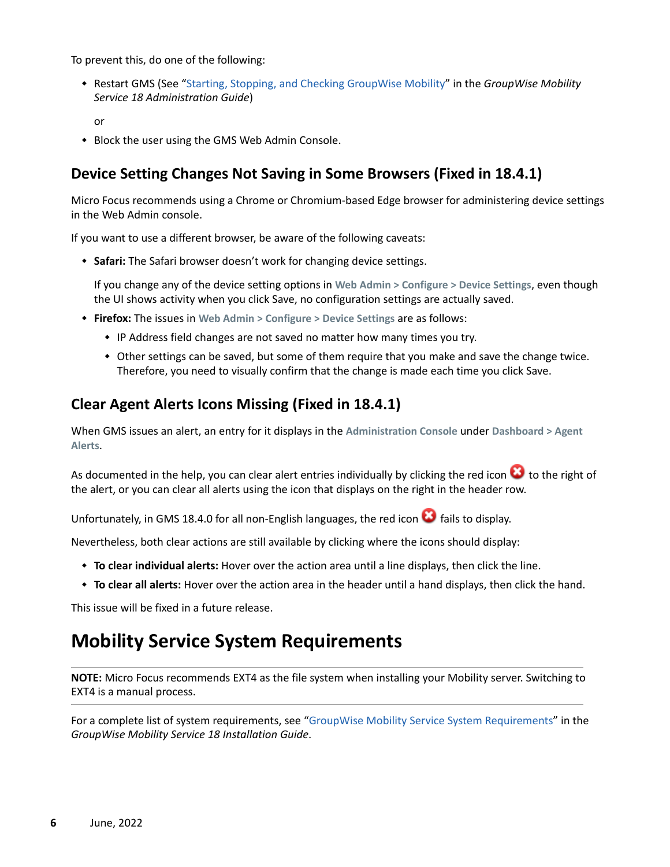To prevent this, do one of the following:

 Restart GMS (See ["Starting, Stopping, and Checking GroupWise Mobility](https://www.novell.com/documentation/gwmobility18.4.1/pdfdoc/gwmob18_guide_admin/gwmob18_guide_admin.pdf#adminmgtstartstop)" in the *GroupWise Mobility Service 18 Administration Guide*)

or

• Block the user using the GMS Web Admin Console.

# **Device Setting Changes Not Saving in Some Browsers (Fixed in 18.4.1)**

Micro Focus recommends using a Chrome or Chromium-based Edge browser for administering device settings in the Web Admin console.

If you want to use a different browser, be aware of the following caveats:

**Safari:** The Safari browser doesn't work for changing device settings.

If you change any of the device setting options in **Web Admin > Configure > Device Settings**, even though the UI shows activity when you click Save, no configuration settings are actually saved.

- **Firefox:** The issues in **Web Admin > Configure > Device Settings** are as follows:
	- IP Address field changes are not saved no matter how many times you try.
	- Other settings can be saved, but some of them require that you make and save the change twice. Therefore, you need to visually confirm that the change is made each time you click Save.

## **Clear Agent Alerts Icons Missing (Fixed in 18.4.1)**

When GMS issues an alert, an entry for it displays in the **Administration Console** under **Dashboard > Agent Alerts**.

As documented in the help, you can clear alert entries individually by clicking the red icon  $\bullet$  to the right of the alert, or you can clear all alerts using the icon that displays on the right in the header row.

Unfortunately, in GMS 18.4.0 for all non-English languages, the red icon  $\bullet$  fails to display.

Nevertheless, both clear actions are still available by clicking where the icons should display:

- **To clear individual alerts:** Hover over the action area until a line displays, then click the line.
- **To clear all alerts:** Hover over the action area in the header until a hand displays, then click the hand.

This issue will be fixed in a future release.

# <span id="page-5-0"></span>**Mobility Service System Requirements**

**NOTE:** Micro Focus recommends EXT4 as the file system when installing your Mobility server. Switching to EXT4 is a manual process.

For a complete list of system requirements, see ["GroupWise Mobility Service System Requirements"](https://www.novell.com/documentation/gwmobility18.4.1/pdfdoc/gwmob18_guide_install/gwmob18_guide_install.pdf#instrequirements) in the *GroupWise Mobility Service 18 Installation Guide*.